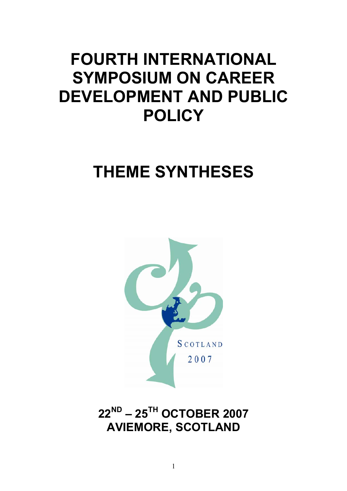# **FOURTH INTERNATIONAL SYMPOSIUM ON CAREER DEVELOPMENT AND PUBLIC POLICY**

# **THEME SYNTHESES**



**22ND – 25TH OCTOBER 2007 AVIEMORE, SCOTLAND**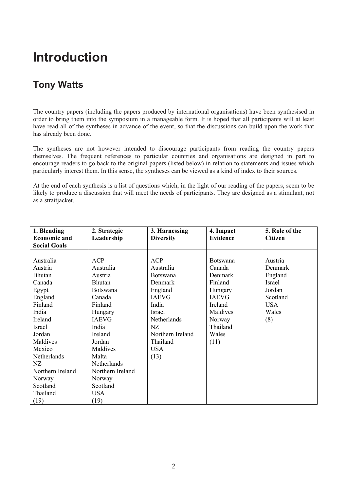## **Introduction**

### **Tony Watts**

The country papers (including the papers produced by international organisations) have been synthesised in order to bring them into the symposium in a manageable form. It is hoped that all participants will at least have read all of the syntheses in advance of the event, so that the discussions can build upon the work that has already been done.

The syntheses are not however intended to discourage participants from reading the country papers themselves. The frequent references to particular countries and organisations are designed in part to encourage readers to go back to the original papers (listed below) in relation to statements and issues which particularly interest them. In this sense, the syntheses can be viewed as a kind of index to their sources.

At the end of each synthesis is a list of questions which, in the light of our reading of the papers, seem to be likely to produce a discussion that will meet the needs of participants. They are designed as a stimulant, not as a straitjacket.

| 1. Blending         | 2. Strategic     | 3. Harnessing    | 4. Impact       | 5. Role of the |
|---------------------|------------------|------------------|-----------------|----------------|
| <b>Economic and</b> | Leadership       | <b>Diversity</b> | <b>Evidence</b> | <b>Citizen</b> |
| <b>Social Goals</b> |                  |                  |                 |                |
|                     |                  |                  |                 |                |
| Australia           | <b>ACP</b>       | <b>ACP</b>       | <b>Botswana</b> | Austria        |
| Austria             | Australia        | Australia        | Canada          | Denmark        |
| <b>Bhutan</b>       | Austria          | <b>Botswana</b>  | Denmark         | England        |
| Canada              | <b>Bhutan</b>    | Denmark          | Finland         | Israel         |
| Egypt               | <b>Botswana</b>  | England          | Hungary         | Jordan         |
| England             | Canada           | <b>IAEVG</b>     | <b>IAEVG</b>    | Scotland       |
| Finland             | Finland          | India            | Ireland         | <b>USA</b>     |
| India               | Hungary          | Israel           | Maldives        | Wales          |
| Ireland             | <b>IAEVG</b>     | Netherlands      | Norway          | (8)            |
| Israel              | India            | NZ               | Thailand        |                |
| Jordan              | Ireland          | Northern Ireland | Wales           |                |
| Maldives            | Jordan           | Thailand         | (11)            |                |
| Mexico              | Maldives         | <b>USA</b>       |                 |                |
| Netherlands         | Malta            | (13)             |                 |                |
| NZ                  | Netherlands      |                  |                 |                |
| Northern Ireland    | Northern Ireland |                  |                 |                |
| Norway              | Norway           |                  |                 |                |
| Scotland            | Scotland         |                  |                 |                |
| Thailand            | <b>USA</b>       |                  |                 |                |
| (19)                | (19)             |                  |                 |                |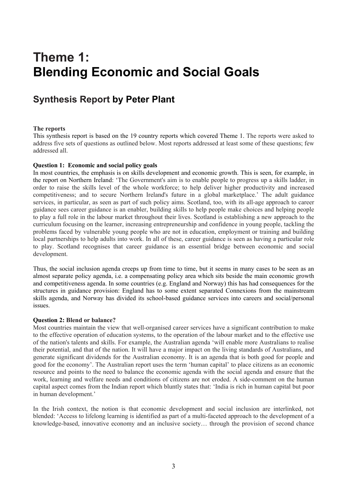## **Theme 1: Blending Economic and Social Goals**

### **Synthesis Report by Peter Plant**

#### **The reports**

This synthesis report is based on the 19 country reports which covered Theme 1. The reports were asked to address five sets of questions as outlined below. Most reports addressed at least some of these questions; few addressed all.

#### **Question 1: Economic and social policy goals**

In most countries, the emphasis is on skills development and economic growth. This is seen, for example, in the report on Northern Ireland: 'The Government's aim is to enable people to progress up a skills ladder, in order to raise the skills level of the whole workforce; to help deliver higher productivity and increased competitiveness; and to secure Northern Ireland's future in a global marketplace.' The adult guidance services, in particular, as seen as part of such policy aims. Scotland, too, with its all-age approach to career guidance sees career guidance is an enabler, building skills to help people make choices and helping people to play a full role in the labour market throughout their lives. Scotland is establishing a new approach to the curriculum focusing on the learner, increasing entrepreneurship and confidence in young people, tackling the problems faced by vulnerable young people who are not in education, employment or training and building local partnerships to help adults into work. In all of these, career guidance is seen as having a particular role to play. Scotland recognises that career guidance is an essential bridge between economic and social development.

Thus, the social inclusion agenda creeps up from time to time, but it seems in many cases to be seen as an almost separate policy agenda, i.e. a compensating policy area which sits beside the main economic growth and competitiveness agenda. In some countries (e.g. England and Norway) this has had consequences for the structures in guidance provision: England has to some extent separated Connexions from the mainstream skills agenda, and Norway has divided its school-based guidance services into careers and social/personal issues.

#### **Question 2: Blend or balance?**

Most countries maintain the view that well-organised career services have a significant contribution to make to the effective operation of education systems, to the operation of the labour market and to the effective use of the nation's talents and skills. For example, the Australian agenda 'will enable more Australians to realise their potential, and that of the nation. It will have a major impact on the living standards of Australians, and generate significant dividends for the Australian economy. It is an agenda that is both good for people and good for the economy'. The Australian report uses the term 'human capital' to place citizens as an economic resource and points to the need to balance the economic agenda with the social agenda and ensure that the work, learning and welfare needs and conditions of citizens are not eroded. A side-comment on the human capital aspect comes from the Indian report which bluntly states that: 'India is rich in human capital but poor in human development.'

In the Irish context, the notion is that economic development and social inclusion are interlinked, not blended: 'Access to lifelong learning is identified as part of a multi-faceted approach to the development of a knowledge-based, innovative economy and an inclusive society… through the provision of second chance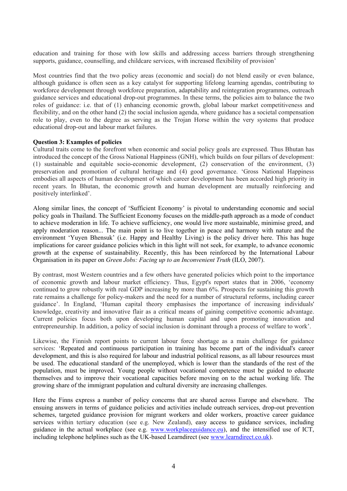education and training for those with low skills and addressing access barriers through strengthening supports, guidance, counselling, and childcare services, with increased flexibility of provision'

Most countries find that the two policy areas (economic and social) do not blend easily or even balance, although guidance is often seen as a key catalyst for supporting lifelong learning agendas, contributing to workforce development through workforce preparation, adaptability and reintegration programmes, outreach guidance services and educational drop-out programmes. In these terms, the policies aim to balance the two roles of guidance: i.e. that of (1) enhancing economic growth, global labour market competitiveness and flexibility, and on the other hand (2) the social inclusion agenda, where guidance has a societal compensation role to play, even to the degree as serving as the Trojan Horse within the very systems that produce educational drop-out and labour market failures.

#### **Question 3: Examples of policies**

Cultural traits come to the forefront when economic and social policy goals are expressed. Thus Bhutan has introduced the concept of the Gross National Happiness (GNH), which builds on four pillars of development: (1) sustainable and equitable socio-economic development, (2) conservation of the environment, (3) preservation and promotion of cultural heritage and (4) good governance. 'Gross National Happiness embodies all aspects of human development of which career development has been accorded high priority in recent years. In Bhutan, the economic growth and human development are mutually reinforcing and positively interlinked'.

Along similar lines, the concept of 'Sufficient Economy' is pivotal to understanding economic and social policy goals in Thailand. The Sufficient Economy focuses on the middle-path approach as a mode of conduct to achieve moderation in life. To achieve sufficiency, one would live more sustainable, minimise greed, and apply moderation reason... The main point is to live together in peace and harmony with nature and the environment 'Yuyen Bhensuk' (i.e. Happy and Healthy Living) is the policy driver here. This has huge implications for career guidance policies which in this light will not seek, for example, to advance economic growth at the expense of sustainability. Recently, this has been reinforced by the International Labour Organisation in its paper on *Green Jobs: Facing up to an Inconvenient Truth* (ILO, 2007).

By contrast, most Western countries and a few others have generated policies which point to the importance of economic growth and labour market efficiency. Thus, Egypt's report states that in 2006, 'economy continued to grow robustly with real GDP increasing by more than 6%. Prospects for sustaining this growth rate remains a challenge for policy-makers and the need for a number of structural reforms, including career guidance'. In England, 'Human capital theory emphasises the importance of increasing individuals' knowledge, creativity and innovative flair as a critical means of gaining competitive economic advantage. Current policies focus both upon developing human capital and upon promoting innovation and entrepreneurship. In addition, a policy of social inclusion is dominant through a process of welfare to work'.

Likewise, the Finnish report points to current labour force shortage as a main challenge for guidance services: 'Repeated and continuous participation in training has become part of the individual's career development, and this is also required for labour and industrial political reasons, as all labour resources must be used. The educational standard of the unemployed, which is lower than the standards of the rest of the population, must be improved. Young people without vocational competence must be guided to educate themselves and to improve their vocational capacities before moving on to the actual working life. The growing share of the immigrant population and cultural diversity are increasing challenges.

Here the Finns express a number of policy concerns that are shared across Europe and elsewhere. The ensuing answers in terms of guidance policies and activities include outreach services, drop-out prevention schemes, targeted guidance provision for migrant workers and older workers, proactive career guidance services within tertiary education (see e.g. New Zealand), easy access to guidance services, including guidance in the actual workplace (see e.g. www.workplaceguidance.eu), and the intensified use of ICT, including telephone helplines such as the UK-based Learndirect (see www.learndirect.co.uk).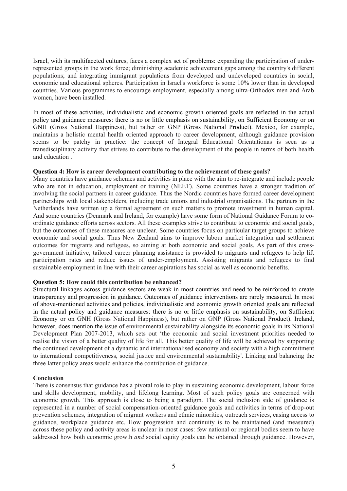Israel, with its multifaceted cultures, faces a complex set of problems: expanding the participation of underrepresented groups in the work force; diminishing academic achievement gaps among the country's different populations; and integrating immigrant populations from developed and undeveloped countries in social, economic and educational spheres. Participation in Israel's workforce is some 10% lower than in developed countries. Various programmes to encourage employment, especially among ultra-Orthodox men and Arab women, have been installed.

In most of these activities, individualistic and economic growth oriented goals are reflected in the actual policy and guidance measures: there is no or little emphasis on sustainability, on Sufficient Economy or on GNH (Gross National Happiness), but rather on GNP (Gross National Product). Mexico, for example, maintains a holistic mental health oriented approach to career development, although guidance provision seems to be patchy in practice: the concept of Integral Educational Orientationas is seen as a transdisciplinary activity that strives to contribute to the development of the people in terms of both health and education .

#### **Question 4: How is career development contributing to the achievement of these goals?**

Many countries have guidance schemes and activities in place with the aim to re-integrate and include people who are not in education, employment or training (NEET). Some countries have a stronger tradition of involving the social partners in career guidance. Thus the Nordic countries have formed career development partnerships with local stakeholders, including trade unions and industrial organisations. The partners in the Netherlands have written up a formal agreement on such matters to promote investment in human capital. And some countries (Denmark and Ireland, for example) have some form of National Guidance Forum to coordinate guidance efforts across sectors. All these examples strive to contribute to economic and social goals, but the outcomes of these measures are unclear. Some countries focus on particular target groups to achieve economic and social goals. Thus New Zealand aims to improve labour market integration and settlement outcomes for migrants and refugees, so aiming at both economic and social goals. As part of this crossgovernment initiative, tailored career planning assistance is provided to migrants and refugees to help lift participation rates and reduce issues of under-employment. Assisting migrants and refugees to find sustainable employment in line with their career aspirations has social as well as economic benefits.

#### **Question 5: How could this contribution be enhanced?**

Structural linkages across guidance sectors are weak in most countries and need to be reinforced to create transparency and progression in guidance. Outcomes of guidance interventions are rarely measured. In most of above-mentioned activities and policies, individualistic and economic growth oriented goals are reflected in the actual policy and guidance measures: there is no or little emphasis on sustainability, on Sufficient Economy or on GNH (Gross National Happiness), but rather on GNP (Gross National Product). Ireland, however, does mention the issue of environmental sustainability alongside its economic goals in its National Development Plan 2007-2013, which sets out 'the economic and social investment priorities needed to realise the vision of a better quality of life for all. This better quality of life will be achieved by supporting the continued development of a dynamic and internationalised economy and society with a high commitment to international competitiveness, social justice and environmental sustainability'. Linking and balancing the three latter policy areas would enhance the contribution of guidance.

#### **Conclusion**

There is consensus that guidance has a pivotal role to play in sustaining economic development, labour force and skills development, mobility, and lifelong learning. Most of such policy goals are concerned with economic growth. This approach is close to being a paradigm. The social inclusion side of guidance is represented in a number of social compensation-oriented guidance goals and activities in terms of drop-out prevention schemes, integration of migrant workers and ethnic minorities, outreach services, easing access to guidance, workplace guidance etc. How progression and continuity is to be maintained (and measured) across these policy and activity areas is unclear in most cases: few national or regional bodies seem to have addressed how both economic growth *and* social equity goals can be obtained through guidance. However,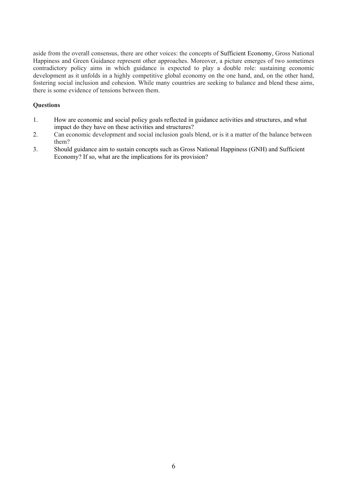aside from the overall consensus, there are other voices: the concepts of Sufficient Economy, Gross National Happiness and Green Guidance represent other approaches. Moreover, a picture emerges of two sometimes contradictory policy aims in which guidance is expected to play a double role: sustaining economic development as it unfolds in a highly competitive global economy on the one hand, and, on the other hand, fostering social inclusion and cohesion. While many countries are seeking to balance and blend these aims, there is some evidence of tensions between them.

- 1. How are economic and social policy goals reflected in guidance activities and structures, and what impact do they have on these activities and structures?
- 2. Can economic development and social inclusion goals blend, or is it a matter of the balance between them?
- 3. Should guidance aim to sustain concepts such as Gross National Happiness (GNH) and Sufficient Economy? If so, what are the implications for its provision?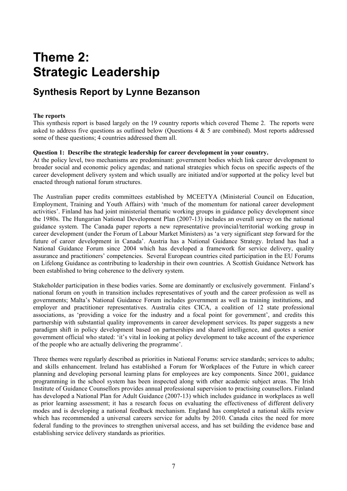## **Theme 2: Strategic Leadership**

### **Synthesis Report by Lynne Bezanson**

#### **The reports**

This synthesis report is based largely on the 19 country reports which covered Theme 2. The reports were asked to address five questions as outlined below (Questions 4 & 5 are combined). Most reports addressed some of these questions; 4 countries addressed them all.

#### **Question 1: Describe the strategic leadership for career development in your country.**

At the policy level, two mechanisms are predominant: government bodies which link career development to broader social and economic policy agendas; and national strategies which focus on specific aspects of the career development delivery system and which usually are initiated and/or supported at the policy level but enacted through national forum structures.

The Australian paper credits committees established by MCEETYA (Ministerial Council on Education, Employment, Training and Youth Affairs) with 'much of the momentum for national career development activities'. Finland has had joint ministerial thematic working groups in guidance policy development since the 1980s. The Hungarian National Development Plan (2007-13) includes an overall survey on the national guidance system. The Canada paper reports a new representative provincial/territorial working group in career development (under the Forum of Labour Market Ministers) as 'a very significant step forward for the future of career development in Canada'. Austria has a National Guidance Strategy. Ireland has had a National Guidance Forum since 2004 which has developed a framework for service delivery, quality assurance and practitioners' competencies. Several European countries cited participation in the EU Forums on Lifelong Guidance as contributing to leadership in their own countries. A Scottish Guidance Network has been established to bring coherence to the delivery system.

Stakeholder participation in these bodies varies. Some are dominantly or exclusively government. Finland's national forum on youth in transition includes representatives of youth and the career profession as well as governments; Malta's National Guidance Forum includes government as well as training institutions, and employer and practitioner representatives. Australia cites CICA, a coalition of 12 state professional associations, as 'providing a voice for the industry and a focal point for government', and credits this partnership with substantial quality improvements in career development services. Its paper suggests a new paradigm shift in policy development based on partnerships and shared intelligence, and quotes a senior government official who stated: 'it's vital in looking at policy development to take account of the experience of the people who are actually delivering the programme'.

Three themes were regularly described as priorities in National Forums: service standards; services to adults; and skills enhancement. Ireland has established a Forum for Workplaces of the Future in which career planning and developing personal learning plans for employees are key components. Since 2001, guidance programming in the school system has been inspected along with other academic subject areas. The Irish Institute of Guidance Counsellors provides annual professional supervision to practising counsellors. Finland has developed a National Plan for Adult Guidance (2007-13) which includes guidance in workplaces as well as prior learning assessment; it has a research focus on evaluating the effectiveness of different delivery modes and is developing a national feedback mechanism. England has completed a national skills review which has recommended a universal careers service for adults by 2010. Canada cites the need for more federal funding to the provinces to strengthen universal access, and has set building the evidence base and establishing service delivery standards as priorities.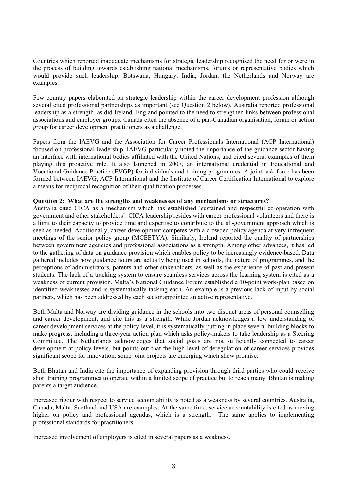Countries which reported inadequate mechanisms for strategic leadership recognised the need for or were in the process of building towards establishing national mechanisms, forums or representative bodies which would provide such leadership. Botswana, Hungary, India, Jordan, the Netherlands and Norway are examples.

Few country papers elaborated on strategic leadership within the career development profession although several cited professional partnerships as important (see Question 2 below). Australia reported professional leadership as a strength, as did Ireland. England pointed to the need to strengthen links between professional associations and employer groups. Canada cited the absence of a pan-Canadian organisation, forum or action group for career development practitioners as a challenge.

Papers from the IAEVG and the Association for Career Professionals International (ACP International) focused on professional leadership. IAEVG particularly noted the importance of the guidance sector having an interface with international bodies affiliated with the United Nations, and cited several examples of them playing this proactive role. It also launched in 2007, an international credential in Educational and Vocational Guidance Practice (EVGP) for individuals and training programmes. A joint task force has been formed between IAEVG, ACP International and the Institute of Career Certification International to explore a means for reciprocal recognition of their qualification processes.

#### **Question 2: What are the strengths and weaknesses of any mechanisms or structures?**

Australia cited CICA as a mechanism which has established 'sustained and respectful co-operation with government and other stakeholders'. CICA leadership resides with career professional volunteers and there is a limit to their capacity to provide time and expertise to contribute to the all-government approach which is seen as needed. Additionally, career development competes with a crowded policy agenda at very infrequent meetings of the senior policy group (MCEETYA). Similarly, Ireland reported the quality of partnerships between government agencies and professional associations as a strength. Among other advances, it has led to the gathering of data on guidance provision which enables policy to be increasingly evidence-based. Data gathered includes how guidance hours are actually being used in schools, the nature of programmes, and the perceptions of administrators, parents and other stakeholders, as well as the experience of past and present students. The lack of a tracking system to ensure seamless services across the learning system is cited as a weakness of current provision. Malta's National Guidance Forum established a 10-point work-plan based on identified weaknesses and is systematically tacking each. An example is a previous lack of input by social partners, which has been addressed by each sector appointed an active representative.

Both Malta and Norway are dividing guidance in the schools into two distinct areas of personal counselling and career development, and cite this as a strength. While Jordan acknowledges a low understanding of career development services at the policy level, it is systematically putting in place several building blocks to make progress, including a three-year action plan which asks policy-makers to take leadership as a Steering Committee. The Netherlands acknowledges that social goals are not sufficiently connected to career development at policy levels, but points out that the high level of deregulation of career services provides significant scope for innovation: some joint projects are emerging which show promise.

Both Bhutan and India cite the importance of expanding provision through third parties who could receive short training programmes to operate within a limited scope of practice but to reach many. Bhutan is making parents a target audience.

Increased rigour with respect to service accountability is noted as a weakness by several countries. Australia, Canada, Malta, Scotland and USA are examples. At the same time, service accountability is cited as moving higher on policy and professional agendas, which is a strength. The same applies to implementing professional standards for practitioners.

Increased involvement of employers is cited in several papers as a weakness.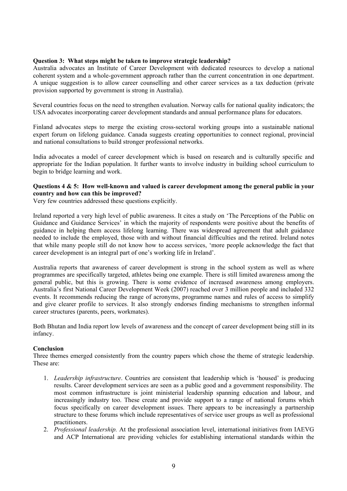#### **Question 3: What steps might be taken to improve strategic leadership?**

Australia advocates an Institute of Career Development with dedicated resources to develop a national coherent system and a whole-government approach rather than the current concentration in one department. A unique suggestion is to allow career counselling and other career services as a tax deduction (private provision supported by government is strong in Australia).

Several countries focus on the need to strengthen evaluation. Norway calls for national quality indicators; the USA advocates incorporating career development standards and annual performance plans for educators.

Finland advocates steps to merge the existing cross-sectoral working groups into a sustainable national expert forum on lifelong guidance. Canada suggests creating opportunities to connect regional, provincial and national consultations to build stronger professional networks.

India advocates a model of career development which is based on research and is culturally specific and appropriate for the Indian population. It further wants to involve industry in building school curriculum to begin to bridge learning and work.

#### **Questions 4 & 5: How well-known and valued is career development among the general public in your country and how can this be improved?**

Very few countries addressed these questions explicitly.

Ireland reported a very high level of public awareness. It cites a study on 'The Perceptions of the Public on Guidance and Guidance Services' in which the majority of respondents were positive about the benefits of guidance in helping them access lifelong learning. There was widespread agreement that adult guidance needed to include the employed, those with and without financial difficulties and the retired. Ireland notes that while many people still do not know how to access services, 'more people acknowledge the fact that career development is an integral part of one's working life in Ireland'.

Australia reports that awareness of career development is strong in the school system as well as where programmes are specifically targeted, athletes being one example. There is still limited awareness among the general public, but this is growing. There is some evidence of increased awareness among employers. Australia's first National Career Development Week (2007) reached over 3 million people and included 332 events. It recommends reducing the range of acronyms, programme names and rules of access to simplify and give clearer profile to services. It also strongly endorses finding mechanisms to strengthen informal career structures (parents, peers, workmates).

Both Bhutan and India report low levels of awareness and the concept of career development being still in its infancy.

#### **Conclusion**

Three themes emerged consistently from the country papers which chose the theme of strategic leadership. These are:

- 1. *Leadership infrastructure*. Countries are consistent that leadership which is 'housed' is producing results. Career development services are seen as a public good and a government responsibility. The most common infrastructure is joint ministerial leadership spanning education and labour, and increasingly industry too. These create and provide support to a range of national forums which focus specifically on career development issues. There appears to be increasingly a partnership structure to these forums which include representatives of service user groups as well as professional practitioners.
- 2. *Professional leadership.* At the professional association level, international initiatives from IAEVG and ACP International are providing vehicles for establishing international standards within the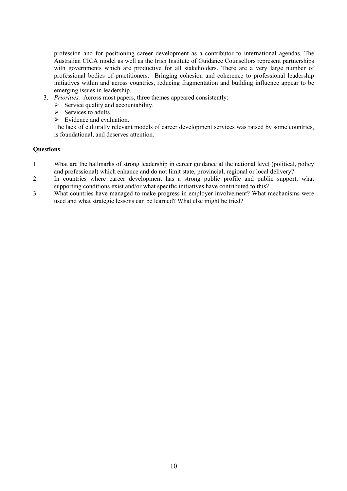profession and for positioning career development as a contributor to international agendas. The Australian CICA model as well as the Irish Institute of Guidance Counsellors represent partnerships with governments which are productive for all stakeholders. There are a very large number of professional bodies of practitioners. Bringing cohesion and coherence to professional leadership initiatives within and across countries, reducing fragmentation and building influence appear to be emerging issues in leadership.

- 3. *Priorities.* Across most papers, three themes appeared consistently:
	- $\triangleright$  Service quality and accountability.
	- $\triangleright$  Services to adults.
	- $\triangleright$  Evidence and evaluation.

The lack of culturally relevant models of career development services was raised by some countries, is foundational, and deserves attention.

- 1. What are the hallmarks of strong leadership in career guidance at the national level (political, policy and professional) which enhance and do not limit state, provincial, regional or local delivery?
- 2. In countries where career development has a strong public profile and public support, what supporting conditions exist and/or what specific initiatives have contributed to this?
- 3. What countries have managed to make progress in employer involvement? What mechanisms were used and what strategic lessons can be learned? What else might be tried?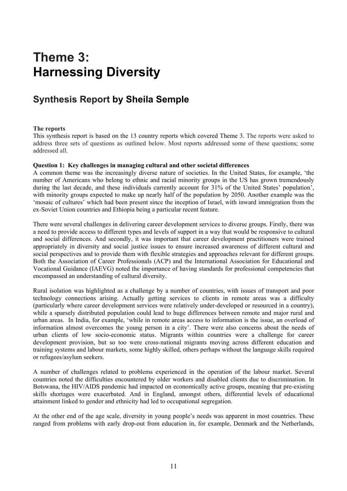## **Theme 3: Harnessing Diversity**

### **Synthesis Report by Sheila Semple**

#### **The reports**

This synthesis report is based on the 13 country reports which covered Theme 3. The reports were asked to address three sets of questions as outlined below. Most reports addressed some of these questions; some addressed all.

#### **Question 1: Key challenges in managing cultural and other societal differences**

A common theme was the increasingly diverse nature of societies. In the United States, for example, 'the number of Americans who belong to ethnic and racial minority groups in the US has grown tremendously during the last decade, and these individuals currently account for 31% of the United States' population', with minority groups expected to make up nearly half of the population by 2050. Another example was the 'mosaic of cultures' which had been present since the inception of Israel, with inward immigration from the ex-Soviet Union countries and Ethiopia being a particular recent feature.

There were several challenges in delivering career development services to diverse groups. Firstly, there was a need to provide access to different types and levels of support in a way that would be responsive to cultural and social differences. And secondly, it was important that career development practitioners were trained appropriately in diversity and social justice issues to ensure increased awareness of different cultural and social perspectives and to provide them with flexible strategies and approaches relevant for different groups. Both the Association of Career Professionals (ACP) and the International Association for Educational and Vocational Guidance (IAEVG) noted the importance of having standards for professional competencies that encompassed an understanding of cultural diversity.

Rural isolation was highlighted as a challenge by a number of countries, with issues of transport and poor technology connections arising. Actually getting services to clients in remote areas was a difficulty (particularly where career development services were relatively under-developed or resourced in a country), while a sparsely distributed population could lead to huge differences between remote and major rural and urban areas. In India, for example, 'while in remote areas access to information is the issue, an overload of information almost overcomes the young person in a city'. There were also concerns about the needs of urban clients of low socio-economic status. Migrants within countries were a challenge for career development provision, but so too were cross-national migrants moving across different education and training systems and labour markets, some highly skilled, others perhaps without the language skills required or refugees/asylum seekers.

A number of challenges related to problems experienced in the operation of the labour market. Several countries noted the difficulties encountered by older workers and disabled clients due to discrimination. In Botswana, the HIV/AIDS pandemic had impacted on economically active groups, meaning that pre-existing skills shortages were exacerbated. And in England, amongst others, differential levels of educational attainment linked to gender and ethnicity had led to occupational segregation.

At the other end of the age scale, diversity in young people's needs was apparent in most countries. These ranged from problems with early drop-out from education in, for example, Denmark and the Netherlands,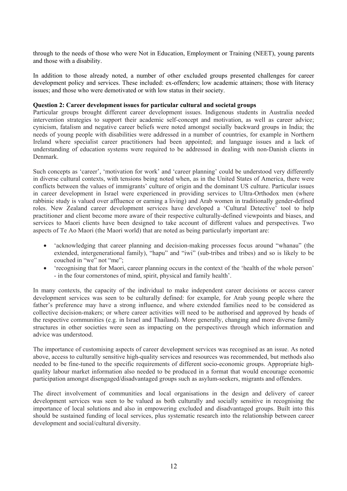through to the needs of those who were Not in Education, Employment or Training (NEET), young parents and those with a disability.

In addition to those already noted, a number of other excluded groups presented challenges for career development policy and services. These included: ex-offenders; low academic attainers; those with literacy issues; and those who were demotivated or with low status in their society.

#### **Question 2: Career development issues for particular cultural and societal groups**

Particular groups brought different career development issues. Indigenous students in Australia needed intervention strategies to support their academic self-concept and motivation, as well as career advice; cynicism, fatalism and negative career beliefs were noted amongst socially backward groups in India; the needs of young people with disabilities were addressed in a number of countries, for example in Northern Ireland where specialist career practitioners had been appointed; and language issues and a lack of understanding of education systems were required to be addressed in dealing with non-Danish clients in Denmark.

Such concepts as 'career', 'motivation for work' and 'career planning' could be understood very differently in diverse cultural contexts, with tensions being noted when, as in the United States of America, there were conflicts between the values of immigrants' culture of origin and the dominant US culture. Particular issues in career development in Israel were experienced in providing services to Ultra-Orthodox men (where rabbinic study is valued over affluence or earning a living) and Arab women in traditionally gender-defined roles. New Zealand career development services have developed a 'Cultural Detective' tool to help practitioner and client become more aware of their respective culturally-defined viewpoints and biases, and services to Maori clients have been designed to take account of different values and perspectives. Two aspects of Te Ao Maori (the Maori world) that are noted as being particularly important are:

- 'acknowledging that career planning and decision-making processes focus around "whanau" (the extended, intergenerational family), "hapu" and "iwi" (sub-tribes and tribes) and so is likely to be couched in "we" not "me".
- 'recognising that for Maori, career planning occurs in the context of the 'health of the whole person' - in the four cornerstones of mind, spirit, physical and family health'.

In many contexts, the capacity of the individual to make independent career decisions or access career development services was seen to be culturally defined: for example, for Arab young people where the father's preference may have a strong influence, and where extended families need to be considered as collective decision-makers; or where career activities will need to be authorised and approved by heads of the respective communities (e.g. in Israel and Thailand). More generally, changing and more diverse family structures in other societies were seen as impacting on the perspectives through which information and advice was understood.

The importance of customising aspects of career development services was recognised as an issue. As noted above, access to culturally sensitive high-quality services and resources was recommended, but methods also needed to be fine-tuned to the specific requirements of different socio-economic groups. Appropriate highquality labour market information also needed to be produced in a format that would encourage economic participation amongst disengaged/disadvantaged groups such as asylum-seekers, migrants and offenders.

The direct involvement of communities and local organisations in the design and delivery of career development services was seen to be valued as both culturally and socially sensitive in recognising the importance of local solutions and also in empowering excluded and disadvantaged groups. Built into this should be sustained funding of local services, plus systematic research into the relationship between career development and social/cultural diversity.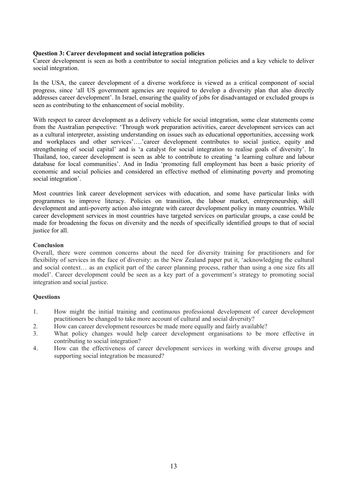#### **Question 3: Career development and social integration policies**

Career development is seen as both a contributor to social integration policies and a key vehicle to deliver social integration.

In the USA, the career development of a diverse workforce is viewed as a critical component of social progress, since 'all US government agencies are required to develop a diversity plan that also directly addresses career development'. In Israel, ensuring the quality of jobs for disadvantaged or excluded groups is seen as contributing to the enhancement of social mobility.

With respect to career development as a delivery vehicle for social integration, some clear statements come from the Australian perspective: 'Through work preparation activities, career development services can act as a cultural interpreter, assisting understanding on issues such as educational opportunities, accessing work and workplaces and other services'….'career development contributes to social justice, equity and strengthening of social capital' and is 'a catalyst for social integration to realise goals of diversity'. In Thailand, too, career development is seen as able to contribute to creating 'a learning culture and labour database for local communities'. And in India 'promoting full employment has been a basic priority of economic and social policies and considered an effective method of eliminating poverty and promoting social integration'.

Most countries link career development services with education, and some have particular links with programmes to improve literacy. Policies on transition, the labour market, entrepreneurship, skill development and anti-poverty action also integrate with career development policy in many countries. While career development services in most countries have targeted services on particular groups, a case could be made for broadening the focus on diversity and the needs of specifically identified groups to that of social justice for all.

#### **Conclusion**

Overall, there were common concerns about the need for diversity training for practitioners and for flexibility of services in the face of diversity: as the New Zealand paper put it, 'acknowledging the cultural and social context… as an explicit part of the career planning process, rather than using a one size fits all model'. Career development could be seen as a key part of a government's strategy to promoting social integration and social justice.

- 1. How might the initial training and continuous professional development of career development practitioners be changed to take more account of cultural and social diversity?
- 2. How can career development resources be made more equally and fairly available?
- 3. What policy changes would help career development organisations to be more effective in contributing to social integration?
- 4. How can the effectiveness of career development services in working with diverse groups and supporting social integration be measured?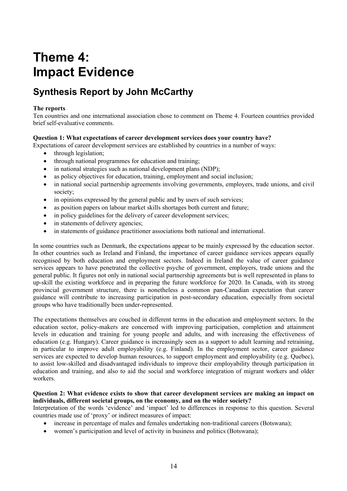## **Theme 4: Impact Evidence**

### **Synthesis Report by John McCarthy**

#### **The reports**

Ten countries and one international association chose to comment on Theme 4. Fourteen countries provided brief self-evaluative comments.

#### **Question 1: What expectations of career development services does your country have?**

Expectations of career development services are established by countries in a number of ways:

- through legislation;
- through national programmes for education and training;
- in national strategies such as national development plans (NDP);
- as policy objectives for education, training, employment and social inclusion;
- in national social partnership agreements involving governments, employers, trade unions, and civil society;
- in opinions expressed by the general public and by users of such services;
- as position papers on labour market skills shortages both current and future;
- in policy guidelines for the delivery of career development services:
- in statements of delivery agencies:
- in statements of guidance practitioner associations both national and international.

In some countries such as Denmark, the expectations appear to be mainly expressed by the education sector. In other countries such as Ireland and Finland, the importance of career guidance services appears equally recognised by both education and employment sectors. Indeed in Ireland the value of career guidance services appears to have penetrated the collective psyche of government, employers, trade unions and the general public. It figures not only in national social partnership agreements but is well represented in plans to up-skill the existing workforce and in preparing the future workforce for 2020. In Canada, with its strong provincial government structure, there is nonetheless a common pan-Canadian expectation that career guidance will contribute to increasing participation in post-secondary education, especially from societal groups who have traditionally been under-represented.

The expectations themselves are couched in different terms in the education and employment sectors. In the education sector, policy-makers are concerned with improving participation, completion and attainment levels in education and training for young people and adults, and with increasing the effectiveness of education (e.g. Hungary). Career guidance is increasingly seen as a support to adult learning and retraining, in particular to improve adult employability (e.g. Finland). In the employment sector, career guidance services are expected to develop human resources, to support employment and employability (e.g. Quebec), to assist low-skilled and disadvantaged individuals to improve their employability through participation in education and training, and also to aid the social and workforce integration of migrant workers and older workers.

#### **Question 2: What evidence exists to show that career development services are making an impact on individuals, different societal groups, on the economy, and on the wider society?**

Interpretation of the words 'evidence' and 'impact' led to differences in response to this question. Several countries made use of 'proxy' or indirect measures of impact:

- increase in percentage of males and females undertaking non-traditional careers (Botswana);
- women's participation and level of activity in business and politics (Botswana);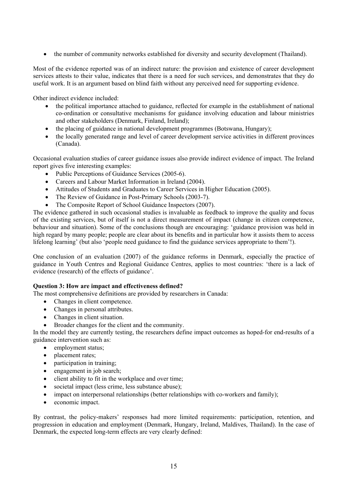• the number of community networks established for diversity and security development (Thailand).

Most of the evidence reported was of an indirect nature: the provision and existence of career development services attests to their value, indicates that there is a need for such services, and demonstrates that they do useful work. It is an argument based on blind faith without any perceived need for supporting evidence.

Other indirect evidence included:

- the political importance attached to guidance, reflected for example in the establishment of national co-ordination or consultative mechanisms for guidance involving education and labour ministries and other stakeholders (Denmark, Finland, Ireland);
- the placing of guidance in national development programmes (Botswana, Hungary);
- the locally generated range and level of career development service activities in different provinces (Canada).

Occasional evaluation studies of career guidance issues also provide indirect evidence of impact. The Ireland report gives five interesting examples:

- Public Perceptions of Guidance Services (2005-6).
- Careers and Labour Market Information in Ireland (2004).
- Attitudes of Students and Graduates to Career Services in Higher Education (2005).
- The Review of Guidance in Post-Primary Schools (2003-7).
- The Composite Report of School Guidance Inspectors (2007).

The evidence gathered in such occasional studies is invaluable as feedback to improve the quality and focus of the existing services, but of itself is not a direct measurement of impact (change in citizen competence, behaviour and situation). Some of the conclusions though are encouraging: 'guidance provision was held in high regard by many people; people are clear about its benefits and in particular how it assists them to access lifelong learning' (but also 'people need guidance to find the guidance services appropriate to them'!).

One conclusion of an evaluation (2007) of the guidance reforms in Denmark, especially the practice of guidance in Youth Centres and Regional Guidance Centres, applies to most countries: 'there is a lack of evidence (research) of the effects of guidance'.

#### **Question 3: How are impact and effectiveness defined?**

The most comprehensive definitions are provided by researchers in Canada:

- Changes in client competence.
- Changes in personal attributes.
- Changes in client situation.
- Broader changes for the client and the community.

In the model they are currently testing, the researchers define impact outcomes as hoped-for end-results of a guidance intervention such as:

- employment status;
- placement rates;
- participation in training:
- engagement in job search:
- client ability to fit in the workplace and over time;
- societal impact (less crime, less substance abuse);
- impact on interpersonal relationships (better relationships with co-workers and family);
- economic impact.

By contrast, the policy-makers' responses had more limited requirements: participation, retention, and progression in education and employment (Denmark, Hungary, Ireland, Maldives, Thailand). In the case of Denmark, the expected long-term effects are very clearly defined: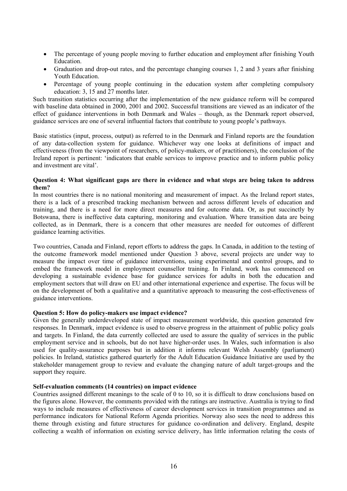- The percentage of young people moving to further education and employment after finishing Youth Education.
- Graduation and drop-out rates, and the percentage changing courses 1, 2 and 3 years after finishing Youth Education.
- Percentage of young people continuing in the education system after completing compulsory education: 3, 15 and 27 months later.

Such transition statistics occurring after the implementation of the new guidance reform will be compared with baseline data obtained in 2000, 2001 and 2002. Successful transitions are viewed as an indicator of the effect of guidance interventions in both Denmark and Wales – though, as the Denmark report observed, guidance services are one of several influential factors that contribute to young people's pathways.

Basic statistics (input, process, output) as referred to in the Denmark and Finland reports are the foundation of any data-collection system for guidance. Whichever way one looks at definitions of impact and effectiveness (from the viewpoint of researchers, of policy-makers, or of practitioners), the conclusion of the Ireland report is pertinent: 'indicators that enable services to improve practice and to inform public policy and investment are vital'.

#### **Question 4: What significant gaps are there in evidence and what steps are being taken to address them?**

In most countries there is no national monitoring and measurement of impact. As the Ireland report states, there is a lack of a prescribed tracking mechanism between and across different levels of education and training, and there is a need for more direct measures and for outcome data. Or, as put succinctly by Botswana, there is ineffective data capturing, monitoring and evaluation. Where transition data are being collected, as in Denmark, there is a concern that other measures are needed for outcomes of different guidance learning activities.

Two countries, Canada and Finland, report efforts to address the gaps. In Canada, in addition to the testing of the outcome framework model mentioned under Question 3 above, several projects are under way to measure the impact over time of guidance interventions, using experimental and control groups, and to embed the framework model in employment counsellor training. In Finland, work has commenced on developing a sustainable evidence base for guidance services for adults in both the education and employment sectors that will draw on EU and other international experience and expertise. The focus will be on the development of both a qualitative and a quantitative approach to measuring the cost-effectiveness of guidance interventions.

#### **Question 5: How do policy-makers use impact evidence?**

Given the generally underdeveloped state of impact measurement worldwide, this question generated few responses. In Denmark, impact evidence is used to observe progress in the attainment of public policy goals and targets. In Finland, the data currently collected are used to assure the quality of services in the public employment service and in schools, but do not have higher-order uses. In Wales, such information is also used for quality-assurance purposes but in addition it informs relevant Welsh Assembly (parliament) policies. In Ireland, statistics gathered quarterly for the Adult Education Guidance Initiative are used by the stakeholder management group to review and evaluate the changing nature of adult target-groups and the support they require.

#### **Self-evaluation comments (14 countries) on impact evidence**

Countries assigned different meanings to the scale of 0 to 10, so it is difficult to draw conclusions based on the figures alone. However, the comments provided with the ratings are instructive. Australia is trying to find ways to include measures of effectiveness of career development services in transition programmes and as performance indicators for National Reform Agenda priorities. Norway also sees the need to address this theme through existing and future structures for guidance co-ordination and delivery. England, despite collecting a wealth of information on existing service delivery, has little information relating the costs of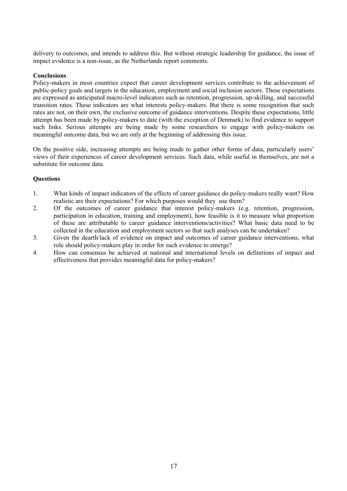delivery to outcomes, and intends to address this. But without strategic leadership for guidance, the issue of impact evidence is a non-issue, as the Netherlands report comments.

#### **Conclusions**

Policy-makers in most countries expect that career development services contribute to the achievement of public-policy goals and targets in the education, employment and social inclusion sectors. These expectations are expressed as anticipated macro-level indicators such as retention, progression, up-skilling, and successful transition rates. These indicators are what interests policy-makers. But there is some recognition that such rates are not, on their own, the exclusive outcome of guidance interventions. Despite these expectations, little attempt has been made by policy-makers to date (with the exception of Denmark) to find evidence to support such links. Serious attempts are being made by some researchers to engage with policy-makers on meaningful outcome data, but we are only at the beginning of addressing this issue.

On the positive side, increasing attempts are being made to gather other forms of data, particularly users' views of their experiences of career development services. Such data, while useful in themselves, are not a substitute for outcome data.

- 1. What kinds of impact indicators of the effects of career guidance do policy-makers really want? How realistic are their expectations? For which purposes would they use them?
- 2. Of the outcomes of career guidance that interest policy-makers (e.g. retention, progression, participation in education, training and employment), how feasible is it to measure what proportion of these are attributable to career guidance interventions/activities? What basic data need to be collected in the education and employment sectors so that such analyses can be undertaken?
- 3. Given the dearth/lack of evidence on impact and outcomes of career guidance interventions, what role should policy-makers play in order for such evidence to emerge?
- 4. How can consensus be achieved at national and international levels on definitions of impact and effectiveness that provides meaningful data for policy-makers?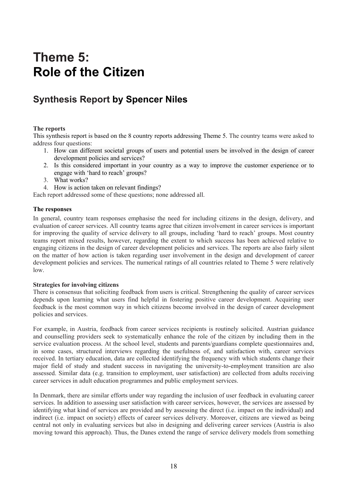## **Theme 5: Role of the Citizen**

### **Synthesis Report by Spencer Niles**

#### **The reports**

This synthesis report is based on the 8 country reports addressing Theme 5. The country teams were asked to address four questions:

- 1. How can different societal groups of users and potential users be involved in the design of career development policies and services?
- 2. Is this considered important in your country as a way to improve the customer experience or to engage with 'hard to reach' groups?
- 3. What works?
- 4. How is action taken on relevant findings?

Each report addressed some of these questions; none addressed all.

#### **The responses**

In general, country team responses emphasise the need for including citizens in the design, delivery, and evaluation of career services. All country teams agree that citizen involvement in career services is important for improving the quality of service delivery to all groups, including 'hard to reach' groups. Most country teams report mixed results, however, regarding the extent to which success has been achieved relative to engaging citizens in the design of career development policies and services. The reports are also fairly silent on the matter of how action is taken regarding user involvement in the design and development of career development policies and services. The numerical ratings of all countries related to Theme 5 were relatively low.

#### **Strategies for involving citizens**

There is consensus that soliciting feedback from users is critical. Strengthening the quality of career services depends upon learning what users find helpful in fostering positive career development. Acquiring user feedback is the most common way in which citizens become involved in the design of career development policies and services.

For example, in Austria, feedback from career services recipients is routinely solicited. Austrian guidance and counselling providers seek to systematically enhance the role of the citizen by including them in the service evaluation process. At the school level, students and parents/guardians complete questionnaires and, in some cases, structured interviews regarding the usefulness of, and satisfaction with, career services received. In tertiary education, data are collected identifying the frequency with which students change their major field of study and student success in navigating the university-to-employment transition are also assessed. Similar data (e.g. transition to employment, user satisfaction) are collected from adults receiving career services in adult education programmes and public employment services.

In Denmark, there are similar efforts under way regarding the inclusion of user feedback in evaluating career services. In addition to assessing user satisfaction with career services, however, the services are assessed by identifying what kind of services are provided and by assessing the direct (i.e. impact on the individual) and indirect (i.e. impact on society) effects of career services delivery. Moreover, citizens are viewed as being central not only in evaluating services but also in designing and delivering career services (Austria is also moving toward this approach). Thus, the Danes extend the range of service delivery models from something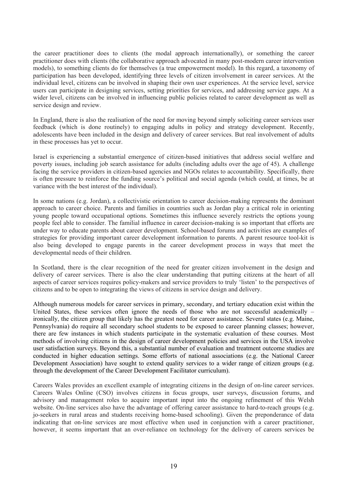the career practitioner does to clients (the modal approach internationally), or something the career practitioner does with clients (the collaborative approach advocated in many post-modern career intervention models), to something clients do for themselves (a true empowerment model). In this regard, a taxonomy of participation has been developed, identifying three levels of citizen involvement in career services. At the individual level, citizens can be involved in shaping their own user experiences. At the service level, service users can participate in designing services, setting priorities for services, and addressing service gaps. At a wider level, citizens can be involved in influencing public policies related to career development as well as service design and review.

In England, there is also the realisation of the need for moving beyond simply soliciting career services user feedback (which is done routinely) to engaging adults in policy and strategy development. Recently, adolescents have been included in the design and delivery of career services. But real involvement of adults in these processes has yet to occur.

Israel is experiencing a substantial emergence of citizen-based initiatives that address social welfare and poverty issues, including job search assistance for adults (including adults over the age of 45). A challenge facing the service providers in citizen-based agencies and NGOs relates to accountability. Specifically, there is often pressure to reinforce the funding source's political and social agenda (which could, at times, be at variance with the best interest of the individual).

In some nations (e.g. Jordan), a collectivistic orientation to career decision-making represents the dominant approach to career choice. Parents and families in countries such as Jordan play a critical role in orienting young people toward occupational options. Sometimes this influence severely restricts the options young people feel able to consider. The familial influence in career decision-making is so important that efforts are under way to educate parents about career development. School-based forums and activities are examples of strategies for providing important career development information to parents. A parent resource tool-kit is also being developed to engage parents in the career development process in ways that meet the developmental needs of their children.

In Scotland, there is the clear recognition of the need for greater citizen involvement in the design and delivery of career services. There is also the clear understanding that putting citizens at the heart of all aspects of career services requires policy-makers and service providers to truly 'listen' to the perspectives of citizens and to be open to integrating the views of citizens in service design and delivery.

Although numerous models for career services in primary, secondary, and tertiary education exist within the United States, these services often ignore the needs of those who are not successful academically – ironically, the citizen group that likely has the greatest need for career assistance. Several states (e.g. Maine, Pennsylvania) do require all secondary school students to be exposed to career planning classes; however, there are few instances in which students participate in the systematic evaluation of these courses. Most methods of involving citizens in the design of career development policies and services in the USA involve user satisfaction surveys. Beyond this, a substantial number of evaluation and treatment outcome studies are conducted in higher education settings. Some efforts of national associations (e.g. the National Career Development Association) have sought to extend quality services to a wider range of citizen groups (e.g. through the development of the Career Development Facilitator curriculum).

Careers Wales provides an excellent example of integrating citizens in the design of on-line career services. Careers Wales Online (CSO) involves citizens in focus groups, user surveys, discussion forums, and advisory and management roles to acquire important input into the ongoing refinement of this Welsh website. On-line services also have the advantage of offering career assistance to hard-to-reach groups (e.g. jo-seekers in rural areas and students receiving home-based schooling). Given the preponderance of data indicating that on-line services are most effective when used in conjunction with a career practitioner, however, it seems important that an over-reliance on technology for the delivery of careers services be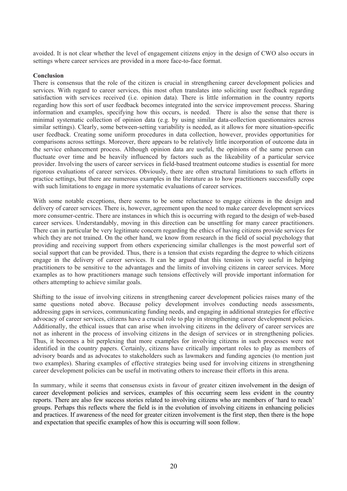avoided. It is not clear whether the level of engagement citizens enjoy in the design of CWO also occurs in settings where career services are provided in a more face-to-face format.

#### **Conclusion**

There is consensus that the role of the citizen is crucial in strengthening career development policies and services. With regard to career services, this most often translates into soliciting user feedback regarding satisfaction with services received (i.e. opinion data). There is little information in the country reports regarding how this sort of user feedback becomes integrated into the service improvement process. Sharing information and examples, specifying how this occurs, is needed. There is also the sense that there is minimal systematic collection of opinion data (e.g. by using similar data-collection questionnaires across similar settings). Clearly, some between-setting variability is needed, as it allows for more situation-specific user feedback. Creating some uniform procedures in data collection, however, provides opportunities for comparisons across settings. Moreover, there appears to be relatively little incorporation of outcome data in the service enhancement process. Although opinion data are useful, the opinions of the same person can fluctuate over time and be heavily influenced by factors such as the likeability of a particular service provider. Involving the users of career services in field-based treatment outcome studies is essential for more rigorous evaluations of career services. Obviously, there are often structural limitations to such efforts in practice settings, but there are numerous examples in the literature as to how practitioners successfully cope with such limitations to engage in more systematic evaluations of career services.

With some notable exceptions, there seems to be some reluctance to engage citizens in the design and delivery of career services. There is, however, agreement upon the need to make career development services more consumer-centric. There are instances in which this is occurring with regard to the design of web-based career services. Understandably, moving in this direction can be unsettling for many career practitioners. There can in particular be very legitimate concern regarding the ethics of having citizens provide services for which they are not trained. On the other hand, we know from research in the field of social psychology that providing and receiving support from others experiencing similar challenges is the most powerful sort of social support that can be provided. Thus, there is a tension that exists regarding the degree to which citizens engage in the delivery of career services. It can be argued that this tension is very useful in helping practitioners to be sensitive to the advantages and the limits of involving citizens in career services. More examples as to how practitioners manage such tensions effectively will provide important information for others attempting to achieve similar goals.

Shifting to the issue of involving citizens in strengthening career development policies raises many of the same questions noted above. Because policy development involves conducting needs assessments, addressing gaps in services, communicating funding needs, and engaging in additional strategies for effective advocacy of career services, citizens have a crucial role to play in strengthening career development policies. Additionally, the ethical issues that can arise when involving citizens in the delivery of career services are not as inherent in the process of involving citizens in the design of services or in strengthening policies. Thus, it becomes a bit perplexing that more examples for involving citizens in such processes were not identified in the country papers. Certainly, citizens have critically important roles to play as members of advisory boards and as advocates to stakeholders such as lawmakers and funding agencies (to mention just two examples). Sharing examples of effective strategies being used for involving citizens in strengthening career development policies can be useful in motivating others to increase their efforts in this arena.

In summary, while it seems that consensus exists in favour of greater citizen involvement in the design of career development policies and services, examples of this occurring seem less evident in the country reports. There are also few success stories related to involving citizens who are members of 'hard to reach' groups. Perhaps this reflects where the field is in the evolution of involving citizens in enhancing policies and practices. If awareness of the need for greater citizen involvement is the first step, then there is the hope and expectation that specific examples of how this is occurring will soon follow.